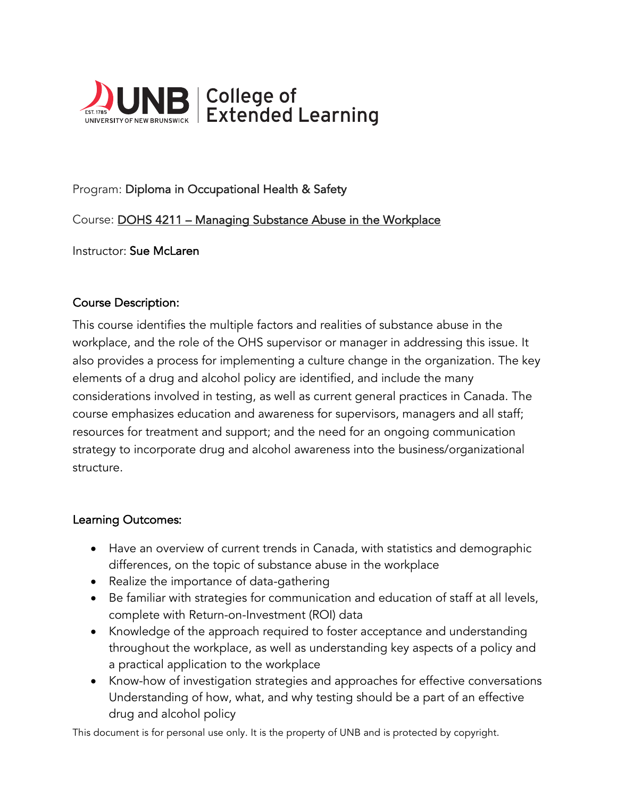

# Program: Diploma in Occupational Health & Safety

## Course: DOHS 4211 – Managing Substance Abuse in the Workplace

Instructor: Sue McLaren

#### Course Description:

This course identifies the multiple factors and realities of substance abuse in the workplace, and the role of the OHS supervisor or manager in addressing this issue. It also provides a process for implementing a culture change in the organization. The key elements of a drug and alcohol policy are identified, and include the many considerations involved in testing, as well as current general practices in Canada. The course emphasizes education and awareness for supervisors, managers and all staff; resources for treatment and support; and the need for an ongoing communication strategy to incorporate drug and alcohol awareness into the business/organizational structure.

#### Learning Outcomes:

- Have an overview of current trends in Canada, with statistics and demographic differences, on the topic of substance abuse in the workplace
- Realize the importance of data-gathering
- Be familiar with strategies for communication and education of staff at all levels, complete with Return-on-Investment (ROI) data
- Knowledge of the approach required to foster acceptance and understanding throughout the workplace, as well as understanding key aspects of a policy and a practical application to the workplace
- Know-how of investigation strategies and approaches for effective conversations Understanding of how, what, and why testing should be a part of an effective drug and alcohol policy

This document is for personal use only. It is the property of UNB and is protected by copyright.